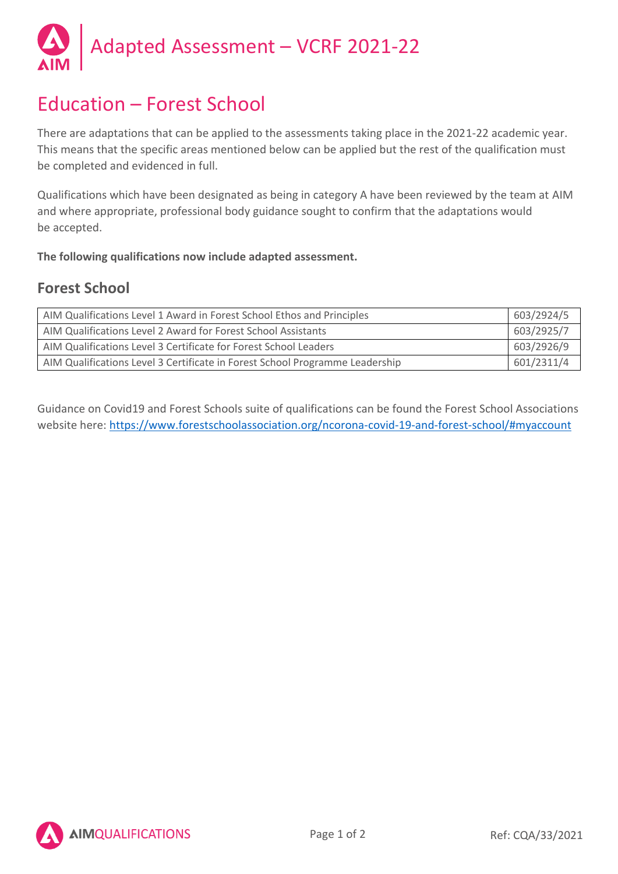

# Education – Forest School

There are adaptations that can be applied to the assessments taking place in the 2021-22 academic year. This means that the specific areas mentioned below can be applied but the rest of the qualification must be completed and evidenced in full.

Qualifications which have been designated as being in category A have been reviewed by the team at AIM and where appropriate, professional body guidance sought to confirm that the adaptations would be accepted.

**The following qualifications now include adapted assessment.**

### **Forest School**

| AIM Qualifications Level 1 Award in Forest School Ethos and Principles       | 603/2924/5 |
|------------------------------------------------------------------------------|------------|
| AIM Qualifications Level 2 Award for Forest School Assistants                | 603/2925/7 |
| AIM Qualifications Level 3 Certificate for Forest School Leaders             | 603/2926/9 |
| AIM Qualifications Level 3 Certificate in Forest School Programme Leadership | 601/2311/4 |

Guidance on Covid19 and Forest Schools suite of qualifications can be found the Forest School Associations website here: https://www.forestschoolassociation.org/ncorona-covid-19-and-forest-school/#myaccount